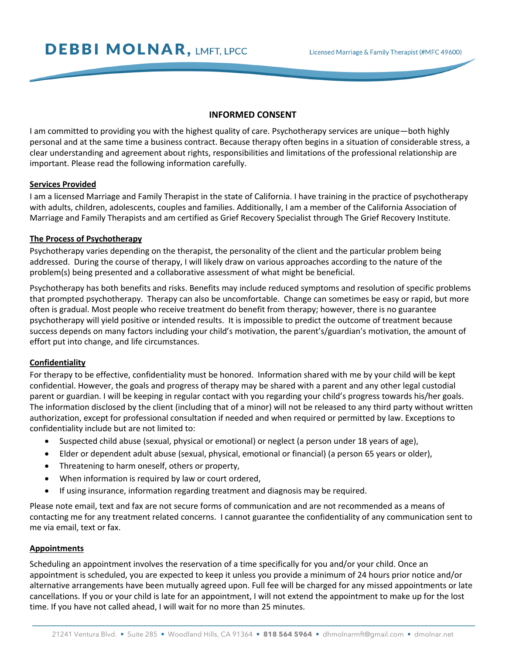**DEBBI MOLNAR, LMFT, LPCC** 

## **INFORMED CONSENT**

I am committed to providing you with the highest quality of care. Psychotherapy services are unique—both highly personal and at the same time a business contract. Because therapy often begins in a situation of considerable stress, a clear understanding and agreement about rights, responsibilities and limitations of the professional relationship are important. Please read the following information carefully.

### **Services Provided**

I am a licensed Marriage and Family Therapist in the state of California. I have training in the practice of psychotherapy with adults, children, adolescents, couples and families. Additionally, I am a member of the California Association of Marriage and Family Therapists and am certified as Grief Recovery Specialist through The Grief Recovery Institute.

# **The Process of Psychotherapy**

Psychotherapy varies depending on the therapist, the personality of the client and the particular problem being addressed. During the course of therapy, I will likely draw on various approaches according to the nature of the problem(s) being presented and a collaborative assessment of what might be beneficial.

Psychotherapy has both benefits and risks. Benefits may include reduced symptoms and resolution of specific problems that prompted psychotherapy. Therapy can also be uncomfortable. Change can sometimes be easy or rapid, but more often is gradual. Most people who receive treatment do benefit from therapy; however, there is no guarantee psychotherapy will yield positive or intended results. It is impossible to predict the outcome of treatment because success depends on many factors including your child's motivation, the parent's/guardian's motivation, the amount of effort put into change, and life circumstances.

### **Confidentiality**

For therapy to be effective, confidentiality must be honored. Information shared with me by your child will be kept confidential. However, the goals and progress of therapy may be shared with a parent and any other legal custodial parent or guardian. I will be keeping in regular contact with you regarding your child's progress towards his/her goals. The information disclosed by the client (including that of a minor) will not be released to any third party without written authorization, except for professional consultation if needed and when required or permitted by law. Exceptions to confidentiality include but are not limited to:

- Suspected child abuse (sexual, physical or emotional) or neglect (a person under 18 years of age),
- Elder or dependent adult abuse (sexual, physical, emotional or financial) (a person 65 years or older),
- Threatening to harm oneself, others or property,
- When information is required by law or court ordered,
- If using insurance, information regarding treatment and diagnosis may be required.

Please note email, text and fax are not secure forms of communication and are not recommended as a means of contacting me for any treatment related concerns. I cannot guarantee the confidentiality of any communication sent to me via email, text or fax.

### **Appointments**

Scheduling an appointment involves the reservation of a time specifically for you and/or your child. Once an appointment is scheduled, you are expected to keep it unless you provide a minimum of 24 hours prior notice and/or alternative arrangements have been mutually agreed upon. Full fee will be charged for any missed appointments or late cancellations. If you or your child is late for an appointment, I will not extend the appointment to make up for the lost time. If you have not called ahead, I will wait for no more than 25 minutes.